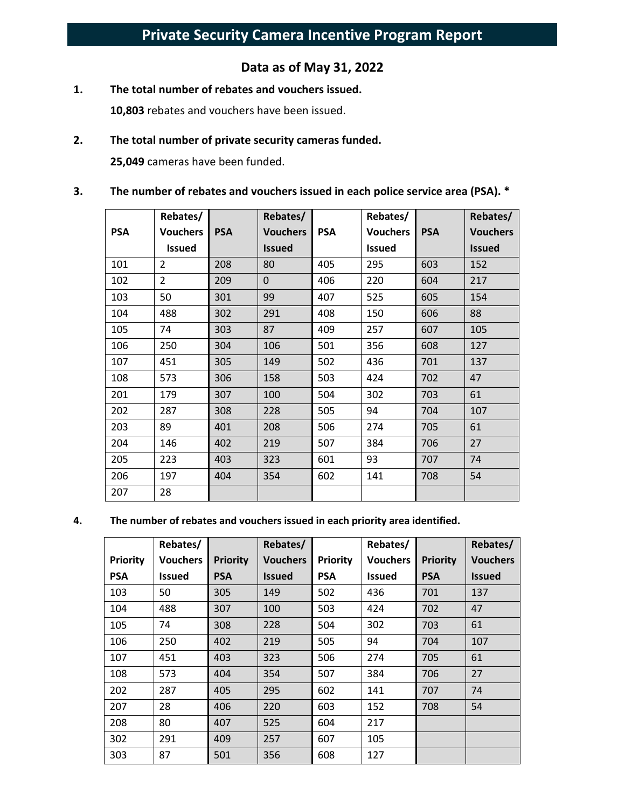# **Data as of May 31, 2022**

**1. The total number of rebates and vouchers issued.** 

**10,803** rebates and vouchers have been issued.

#### **2. The total number of private security cameras funded.**

**25,049** cameras have been funded.

#### **3. The number of rebates and vouchers issued in each police service area (PSA). \***

|            | Rebates/        |            | Rebates/        |            | Rebates/        |            | Rebates/        |
|------------|-----------------|------------|-----------------|------------|-----------------|------------|-----------------|
| <b>PSA</b> | <b>Vouchers</b> | <b>PSA</b> | <b>Vouchers</b> | <b>PSA</b> | <b>Vouchers</b> | <b>PSA</b> | <b>Vouchers</b> |
|            | <b>Issued</b>   |            | <b>Issued</b>   |            | <b>Issued</b>   |            | <b>Issued</b>   |
| 101        | 2               | 208        | 80              | 405        | 295             | 603        | 152             |
| 102        | $\overline{2}$  | 209        | $\mathbf 0$     | 406        | 220             | 604        | 217             |
| 103        | 50              | 301        | 99              | 407        | 525             | 605        | 154             |
| 104        | 488             | 302        | 291             | 408        | 150             | 606        | 88              |
| 105        | 74              | 303        | 87              | 409        | 257             | 607        | 105             |
| 106        | 250             | 304        | 106             | 501        | 356             | 608        | 127             |
| 107        | 451             | 305        | 149             | 502        | 436             | 701        | 137             |
| 108        | 573             | 306        | 158             | 503        | 424             | 702        | 47              |
| 201        | 179             | 307        | 100             | 504        | 302             | 703        | 61              |
| 202        | 287             | 308        | 228             | 505        | 94              | 704        | 107             |
| 203        | 89              | 401        | 208             | 506        | 274             | 705        | 61              |
| 204        | 146             | 402        | 219             | 507        | 384             | 706        | 27              |
| 205        | 223             | 403        | 323             | 601        | 93              | 707        | 74              |
| 206        | 197             | 404        | 354             | 602        | 141             | 708        | 54              |
| 207        | 28              |            |                 |            |                 |            |                 |

#### **4. The number of rebates and vouchers issued in each priority area identified.**

|                 | Rebates/        |                 | Rebates/        |                 | Rebates/        |                 | Rebates/        |
|-----------------|-----------------|-----------------|-----------------|-----------------|-----------------|-----------------|-----------------|
| <b>Priority</b> | <b>Vouchers</b> | <b>Priority</b> | <b>Vouchers</b> | <b>Priority</b> | <b>Vouchers</b> | <b>Priority</b> | <b>Vouchers</b> |
| <b>PSA</b>      | <b>Issued</b>   | <b>PSA</b>      | <b>Issued</b>   | <b>PSA</b>      | Issued          | <b>PSA</b>      | <b>Issued</b>   |
| 103             | 50              | 305             | 149             | 502             | 436             | 701             | 137             |
| 104             | 488             | 307             | 100             | 503             | 424             | 702             | 47              |
| 105             | 74              | 308             | 228             | 504             | 302             | 703             | 61              |
| 106             | 250             | 402             | 219             | 505             | 94              | 704             | 107             |
| 107             | 451             | 403             | 323             | 506             | 274             | 705             | 61              |
| 108             | 573             | 404             | 354             | 507             | 384             | 706             | 27              |
| 202             | 287             | 405             | 295             | 602             | 141             | 707             | 74              |
| 207             | 28              | 406             | 220             | 603             | 152             | 708             | 54              |
| 208             | 80              | 407             | 525             | 604             | 217             |                 |                 |
| 302             | 291             | 409             | 257             | 607             | 105             |                 |                 |
| 303             | 87              | 501             | 356             | 608             | 127             |                 |                 |